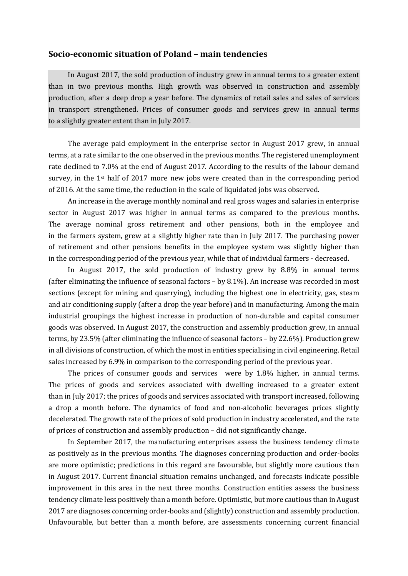## **Socio-economic situation of Poland – main tendencies**

In August 2017, the sold production of industry grew in annual terms to a greater extent than in two previous months. High growth was observed in construction and assembly production, after a deep drop a year before. The dynamics of retail sales and sales of services in transport strengthened. Prices of consumer goods and services grew in annual terms to a slightly greater extent than in July 2017.

The average paid employment in the enterprise sector in August 2017 grew, in annual terms, at a rate similar to the one observed in the previous months. The registered unemployment rate declined to 7.0% at the end of August 2017. According to the results of the labour demand survey, in the 1st half of 2017 more new jobs were created than in the corresponding period of 2016. At the same time, the reduction in the scale of liquidated jobs was observed.

An increase in the average monthly nominal and real gross wages and salaries in enterprise sector in August 2017 was higher in annual terms as compared to the previous months. The average nominal gross retirement and other pensions, both in the employee and in the farmers system, grew at a slightly higher rate than in July 2017. The purchasing power of retirement and other pensions benefits in the employee system was slightly higher than in the corresponding period of the previous year, while that of individual farmers - decreased.

In August 2017, the sold production of industry grew by 8.8% in annual terms (after eliminating the influence of seasonal factors – by 8.1%). An increase was recorded in most sections (except for mining and quarrying), including the highest one in electricity, gas, steam and air conditioning supply (after a drop the year before) and in manufacturing. Among the main industrial groupings the highest increase in production of non-durable and capital consumer goods was observed. In August 2017, the construction and assembly production grew, in annual terms, by 23.5% (after eliminating the influence of seasonal factors – by 22.6%). Production grew in all divisions of construction, of which the most in entities specialising in civil engineering. Retail sales increased by 6.9% in comparison to the corresponding period of the previous year.

The prices of consumer goods and services were by 1.8% higher, in annual terms. The prices of goods and services associated with dwelling increased to a greater extent than in July 2017; the prices of goods and services associated with transport increased, following a drop a month before. The dynamics of food and non-alcoholic beverages prices slightly decelerated. The growth rate of the prices of sold production in industry accelerated, and the rate of prices of construction and assembly production – did not significantly change.

In September 2017, the manufacturing enterprises assess the business tendency climate as positively as in the previous months. The diagnoses concerning production and order-books are more optimistic; predictions in this regard are favourable, but slightly more cautious than in August 2017. Current financial situation remains unchanged, and forecasts indicate possible improvement in this area in the next three months. Construction entities assess the business tendency climate less positively than a month before. Optimistic, but more cautious than in August 2017 are diagnoses concerning order-books and (slightly) construction and assembly production. Unfavourable, but better than a month before, are assessments concerning current financial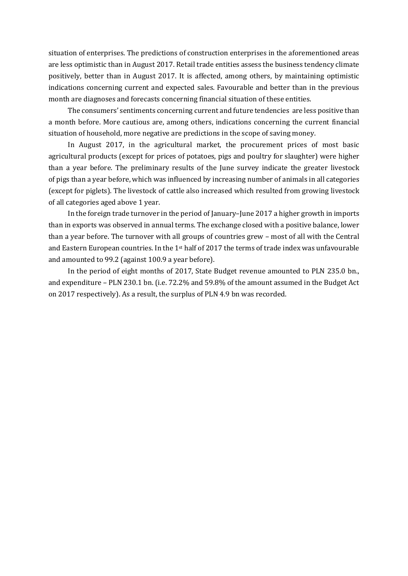situation of enterprises. The predictions of construction enterprises in the aforementioned areas are less optimistic than in August 2017. Retail trade entities assess the business tendency climate positively, better than in August 2017. It is affected, among others, by maintaining optimistic indications concerning current and expected sales. Favourable and better than in the previous month are diagnoses and forecasts concerning financial situation of these entities.

The consumers' sentiments concerning current and future tendencies are less positive than a month before. More cautious are, among others, indications concerning the current financial situation of household, more negative are predictions in the scope of saving money.

In August 2017, in the agricultural market, the procurement prices of most basic agricultural products (except for prices of potatoes, pigs and poultry for slaughter) were higher than a year before. The preliminary results of the June survey indicate the greater livestock of pigs than a year before, which was influenced by increasing number of animals in all categories (except for piglets). The livestock of cattle also increased which resulted from growing livestock of all categories aged above 1 year.

In the foreign trade turnover in the period of January–June 2017 a higher growth in imports than in exports was observed in annual terms. The exchange closed with a positive balance, lower than a year before. The turnover with all groups of countries grew – most of all with the Central and Eastern European countries. In the 1st half of 2017 the terms of trade index was unfavourable and amounted to 99.2 (against 100.9 a year before).

In the period of eight months of 2017, State Budget revenue amounted to PLN 235.0 bn., and expenditure – PLN 230.1 bn. (i.e. 72.2% and 59.8% of the amount assumed in the Budget Act on 2017 respectively). As a result, the surplus of PLN 4.9 bn was recorded.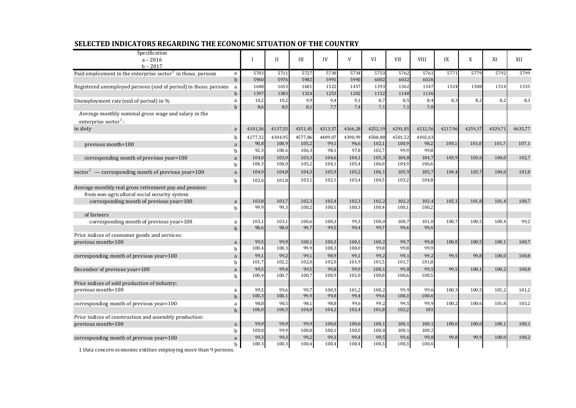| Specification<br>$a - 2016$<br>$h - 2017$                                                |             | $\mathbf I$   | $_{\rm II}$   | III           | IV            | $\mathbf{V}$  | VI            | <b>VII</b>    | <b>VIII</b>   | IX      | X       | XI      | XII     |
|------------------------------------------------------------------------------------------|-------------|---------------|---------------|---------------|---------------|---------------|---------------|---------------|---------------|---------|---------|---------|---------|
| Paid employment in the enterprise sector <sup>1</sup> in thous. persons                  | a           | 5703          | 5711          | 5727          | 5730          | 5734          | 5753          | 5762          | 5761          | 5771    | 5779    | 5792    | 5799    |
|                                                                                          | $\mathbf b$ | 5960          | 5976          | 5982          | 5991          | 5990          | 6002          | 6022          | 6026          |         |         |         |         |
| Registered unemployed persons (end of period) in thous. persons                          | a           | 1648          | 1653          | 1601          | 1522          | 1457          | 1393          | 1362          | 1347          | 1324    | 1308    | 1314    | 1335    |
|                                                                                          | $\mathbf b$ | 1397          | 1383          | 1324          | 1253          | 1202          | 1152          | 1140          | 1136          |         |         |         |         |
| Unemployment rate (end of period) in %                                                   | a           | 10,2          | 10,2          | 9,9           | 9,4           | 9,1           | 8,7           | 8,5           | 8,4           | 8,3     | 8,2     | 8,2     | 8,3     |
| Average monthly nominal gross wage and salary in the<br>enterprise sector <sup>1</sup> : | $\mathbf b$ | 8,6           | 8,5           | 8,1           | 7,7           | 7,4           | 7,1           | 7,1           | 7,0           |         |         |         |         |
| in zloty                                                                                 | a           | 4101,36       | 4137,55       | 4351,45       | 4313,57       | 4166,28       | 4252,19       | 4291,85       | 4212,56       | 4217,96 | 4259,37 | 4329,71 | 4635,77 |
|                                                                                          | b           | 4277,32       | 4304,95       | 4577,86       | 4489,07       | 4390,99       | 4508,08       | 4501,52       | 4492,63       |         |         |         |         |
| previous month=100                                                                       | a           | 90,8          | 100,9         | 105,2         | 99,1          | 96,6          | 102,1         | 100,9         | 98,2          | 100,1   | 101,0   | 101,7   | 107,1   |
|                                                                                          | b           | 92,3          | 100,6         | 106,3         | 98,1          | 97,8          | 102,7         | 99,9          | 99,8          |         |         |         |         |
| corresponding month of previous year=100                                                 | a           | 104,0         | 103,9         | 103,3         | 104,6         | 104,1         | 105,3         | 104,8         | 104,7         | 103,9   | 103,6   | 104,0   | 102,7   |
|                                                                                          | b           | 104,3         | 104,0         | 105,2         | 104,1         | 105,4         | 106,0         | 104,9         | 106,6         |         |         |         |         |
| sector <sup>1</sup> — corresponding month of previous year=100                           | a           | 104,9         | 104,8         | 104,3         | 105,9         | 105,2         | 106,1         | 105,9         | 105,7         | 104,4   | 103,7   | 104,0   | 101,8   |
|                                                                                          | b           | 102,6         | 101,8         | 103,1         | 102,1         | 103,4         | 104,5         | 103,2         | 104,8         |         |         |         |         |
| Average monthly real gross retirement pay and pension:                                   |             |               |               |               |               |               |               |               |               |         |         |         |         |
| from non-agricultural social security system                                             |             |               |               |               |               |               |               |               |               |         |         |         |         |
| corresponding month of previous year=100                                                 | a           | 103,8         | 103,7         | 102,3         | 102,4         | 102,3         | 102,2         | 102.2         | 102.4         | 102.1   | 101.8   | 101.4   | 100,7   |
|                                                                                          | b           | 99,9          | 99,3          | 100,2         | 100,1         | 100,3         | 100,4         | 100,1         | 100,2         |         |         |         |         |
| of farmers                                                                               |             |               |               |               |               |               |               |               |               |         |         |         |         |
| corresponding month of previous year=100                                                 | a           | 103,1         | 103,1         | 100,6         | 100,3         | 99,3          | 100,0         | 100,7         | 101,0         | 100,7   | 100,5   | 100,4   | 99,2    |
|                                                                                          | $b$         | 98,6          | 98,0          | 99,7          | 99,5          | 99,4          | 99,7          | 99,4          | 99,4          |         |         |         |         |
| Price indices of consumer goods and services:                                            |             |               |               |               |               |               |               |               |               |         |         |         |         |
| previous month=100                                                                       | a           | 99,5          | 99,9          | 100,1         | 100,3         | 100,1         | 100,2         | 99,7          | 99,8          | 100,0   | 100,5   | 100,1   | 100,7   |
|                                                                                          | b           | 100,4         | 100,3         | 99,9          | 100,3         | 100,0         | 99,8          | 99,8          | 99,9          |         |         |         |         |
| corresponding month of previous year=100                                                 | a           | 99,1<br>101,7 | 99,2<br>102,2 | 99,1<br>102,0 | 98,9<br>102,0 | 99,1<br>101,9 | 99,2<br>101,5 | 99,1<br>101,7 | 99,2<br>101,8 | 99.5    | 99.8    | 100.0   | 100,8   |
|                                                                                          | $\mathbf b$ | 99,5          | 99,4          | 99,5          | 99,8          | 99,9          | 100,1         | 99,8          | 99,5          | 99.5    | 100,1   | 100,2   | 100,8   |
| December of previous year=100                                                            | a<br>b      | 100,4         | 100,7         | 100,7         | 100,9         | 101,0         | 100,8         | 100,6         | 100,5         |         |         |         |         |
| Price indices of sold production of industry:                                            |             |               |               |               |               |               |               |               |               |         |         |         |         |
| previous month=100                                                                       | a           | 99,5          | 99,6          | 99,7          | 100,3         | 101,2         | 100,2         | 99,9          | 99,6          | 100,3   | 100,5   | 101,2   | 101,2   |
|                                                                                          | $\mathbf b$ | 100,3         | 100,1         | 99,9          | 99,8          | 99,4          | 99,6          | 100,3         | 100,4         |         |         |         |         |
| corresponding month of previous year=100                                                 | a           | 98,8          | 98,5          | 98,1          | 98,8          | 99,6          | 99,2          | 99,5          | 99,9          | 100,2   | 100.6   | 101.8   | 103,2   |
|                                                                                          | $b$         | 104,0         | 104,5         | 104,8         | 104,2         | 102,4         | 101,8         | 102,2         | 103           |         |         |         |         |
| Price indices of construction and assembly production:                                   |             |               |               |               |               |               |               |               |               |         |         |         |         |
| previous month=100                                                                       | a           | 99,9          | 99,9          | 99,9          | 100,0         | 100,0         | 100,1         | 100,1         | 100,1         | 100,0   | 100,0   | 100,1   | 100,1   |
|                                                                                          | b           | 100,0         | 99,9          | 100,0         | 100,1         | 100,0         | 100,0         | 100,1         | 100,2         |         |         |         |         |
| corresponding month of previous year=100                                                 | a           | 99,3          | 99,3          | 99,2          | 99,3          | 99,4          | 99,5          | 99,6          | 99,8          | 99,8    | 99,9    | 100,0   | 100,2   |
| 1 Data concern economic entities employing more than 9 persons.                          | b           | 100,3         | 100,3         | 100,4         | 100,4         | 100,4         | 100,3         | 100,3         | 100,4         |         |         |         |         |

## **SELECTED INDICATORS REGARDING THE ECONOMIC SITUATION OF THE COUNTRY**